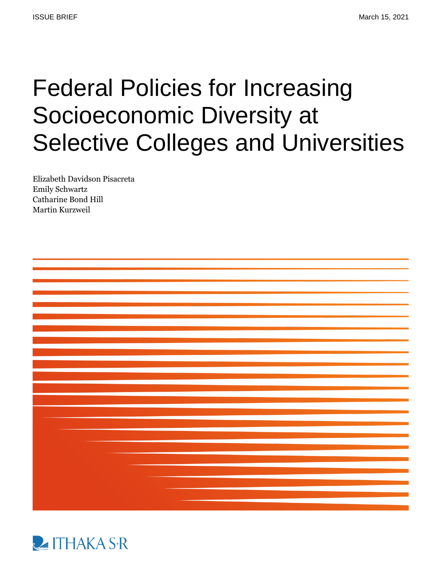# Federal Policies for Increasing Socioeconomic Diversity at Selective Colleges and Universities

Elizabeth Davidson Pisacreta Emily Schwartz Catharine Bond Hill Martin Kurzweil



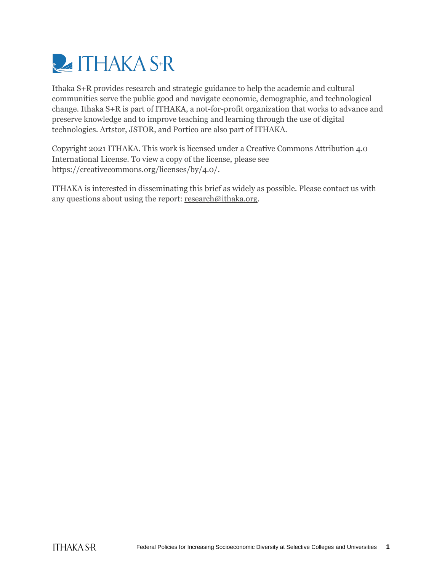

Ithaka S+R provides research and strategic guidance to help the academic and cultural communities serve the public good and navigate economic, demographic, and technological change. Ithaka S+R is part of ITHAKA, a not-for-profit organization that works to advance and preserve knowledge and to improve teaching and learning through the use of digital technologies. Artstor, JSTOR, and Portico are also part of ITHAKA.

Copyright 2021 ITHAKA. This work is licensed under a Creative Commons Attribution 4.0 International License. To view a copy of the license, please see [https://creativecommons.org/licenses/by/4.0/.](https://creativecommons.org/licenses/by/4.0/)

ITHAKA is interested in disseminating this brief as widely as possible. Please contact us with any questions about using the report: [research@ithaka.org.](mailto:research@ithaka.org)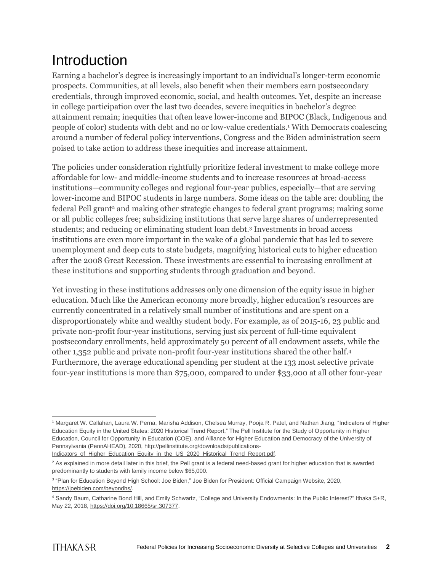# Introduction

Earning a bachelor's degree is increasingly important to an individual's longer-term economic prospects. Communities, at all levels, also benefit when their members earn postsecondary credentials, through improved economic, social, and health outcomes. Yet, despite an increase in college participation over the last two decades, severe inequities in bachelor's degree attainment remain; inequities that often leave lower-income and BIPOC (Black, Indigenous and people of color) students with debt and no or low-value credentials.<sup>1</sup> With Democrats coalescing around a number of federal policy interventions, Congress and the Biden administration seem poised to take action to address these inequities and increase attainment.

The policies under consideration rightfully prioritize federal investment to make college more affordable for low- and middle-income students and to increase resources at broad-access institutions—community colleges and regional four-year publics, especially—that are serving lower-income and BIPOC students in large numbers. Some ideas on the table are: doubling the federal Pell grant<sup>2</sup> and making other strategic changes to federal grant programs; making some or all public colleges free; subsidizing institutions that serve large shares of underrepresented students; and reducing or eliminating student loan debt.<sup>3</sup> Investments in broad access institutions are even more important in the wake of a global pandemic that has led to severe unemployment and deep cuts to state budgets, magnifying historical cuts to higher education after the 2008 Great Recession. These investments are essential to increasing enrollment at these institutions and supporting students through graduation and beyond.

Yet investing in these institutions addresses only one dimension of the equity issue in higher education. Much like the American economy more broadly, higher education's resources are currently concentrated in a relatively small number of institutions and are spent on a disproportionately white and wealthy student body. For example, as of 2015-16, 23 public and private non-profit four-year institutions, serving just six percent of full-time equivalent postsecondary enrollments, held approximately 50 percent of all endowment assets, while the other 1,352 public and private non-profit four-year institutions shared the other half.<sup>4</sup> Furthermore, the average educational spending per student at the 133 most selective private four-year institutions is more than \$75,000, compared to under \$33,000 at all other four-year

 <sup>1</sup> Margaret W. Callahan, Laura W. Perna, Marisha Addison, Chelsea Murray, Pooja R. Patel, and Nathan Jiang, "Indicators of Higher Education Equity in the United States: 2020 Historical Trend Report," The Pell Institute for the Study of Opportunity in Higher Education, Council for Opportunity in Education (COE), and Alliance for Higher Education and Democracy of the University of Pennsylvania (PennAHEAD), 2020, [http://pellinstitute.org/downloads/publications-](http://pellinstitute.org/downloads/publications-Indicators_of_Higher_Education_Equity_in_the_US_2020_Historical_Trend_Report.pdf)

[Indicators\\_of\\_Higher\\_Education\\_Equity\\_in\\_the\\_US\\_2020\\_Historical\\_Trend\\_Report.pdf.](http://pellinstitute.org/downloads/publications-Indicators_of_Higher_Education_Equity_in_the_US_2020_Historical_Trend_Report.pdf)

<sup>&</sup>lt;sup>2</sup> As explained in more detail later in this brief, the Pell grant is a federal need-based grant for higher education that is awarded predominantly to students with family income below \$65,000.

<sup>3</sup> "Plan for Education Beyond High School: Joe Biden," Joe Biden for President: Official Campaign Website, 2020, [https://joebiden.com/beyondhs/.](https://joebiden.com/beyondhs/)

<sup>4</sup> Sandy Baum, Catharine Bond Hill, and Emily Schwartz, "College and University Endowments: In the Public Interest?" Ithaka S+R, May 22, 2018, [https://doi.org/10.18665/sr.307377.](https://doi.org/10.18665/sr.307377)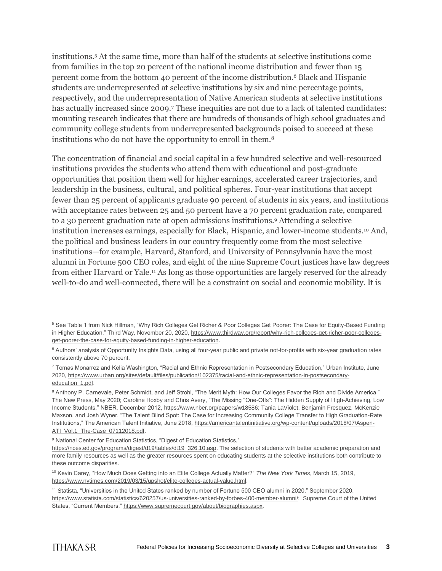institutions.<sup>5</sup> At the same time, more than half of the students at selective institutions come from families in the top 20 percent of the national income distribution and fewer than 15 percent come from the bottom 40 percent of the income distribution.<sup>6</sup> Black and Hispanic students are underrepresented at selective institutions by six and nine percentage points, respectively, and the underrepresentation of Native American students at selective institutions has actually increased since 2009.<sup>7</sup> These inequities are not due to a lack of talented candidates: mounting research indicates that there are hundreds of thousands of high school graduates and community college students from underrepresented backgrounds poised to succeed at these institutions who do not have the opportunity to enroll in them.<sup>8</sup>

The concentration of financial and social capital in a few hundred selective and well-resourced institutions provides the students who attend them with educational and post-graduate opportunities that position them well for higher earnings, accelerated career trajectories, and leadership in the business, cultural, and political spheres. Four-year institutions that accept fewer than 25 percent of applicants graduate 90 percent of students in six years, and institutions with acceptance rates between 25 and 50 percent have a 70 percent graduation rate, compared to a 30 percent graduation rate at open admissions institutions.<sup>9</sup> Attending a selective institution increases earnings, especially for Black, Hispanic, and lower-income students.<sup>10</sup> And, the political and business leaders in our country frequently come from the most selective institutions—for example, Harvard, Stanford, and University of Pennsylvania have the most alumni in Fortune 500 CEO roles, and eight of the nine Supreme Court justices have law degrees from either Harvard or Yale.<sup>11</sup> As long as those opportunities are largely reserved for the already well-to-do and well-connected, there will be a constraint on social and economic mobility. It is

 $\overline{a}$ <sup>5</sup> See Table 1 from Nick Hillman, "Why Rich Colleges Get Richer & Poor Colleges Get Poorer: The Case for Equity-Based Funding in Higher Education," Third Way, November 20, 2020, https://www.thirdway.org/report/why-rich-colleges-get-richer-poor-collegesget-poorer-the-case-for-equity-based-funding-in-higher-education.

<sup>&</sup>lt;sup>6</sup> Authors' analysis of Opportunity Insights Data, using all four-year public and private not-for-profits with six-year graduation rates consistently above 70 percent.

<sup>7</sup> Tomas Monarrez and Kelia Washington, "Racial and Ethnic Representation in Postsecondary Education," Urban Institute, June 2020, [https://www.urban.org/sites/default/files/publication/102375/racial-and-ethnic-representation-in-postsecondary](https://www.urban.org/sites/default/files/publication/102375/racial-and-ethnic-representation-in-postsecondary-education_1.pdf)[education\\_1.pdf.](https://www.urban.org/sites/default/files/publication/102375/racial-and-ethnic-representation-in-postsecondary-education_1.pdf)

<sup>&</sup>lt;sup>8</sup> Anthony P. Carnevale, Peter Schmidt, and Jeff Strohl, "The Merit Myth: How Our Colleges Favor the Rich and Divide America," The New Press, May 2020; Caroline Hoxby and Chris Avery, "The Missing "One-Offs": The Hidden Supply of High-Achieving, Low Income Students," NBER, December 2012, [https://www.nber.org/papers/w18586;](https://www.nber.org/papers/w18586) Tania LaViolet, Benjamin Fresquez, McKenzie Maxson, and Josh Wyner, "The Talent Blind Spot: The Case for Increasing Community College Transfer to High Graduation-Rate Institutions," The American Talent Initiative, June 2018[, https://americantalentinitiative.org/wp-content/uploads/2018/07/Aspen-](https://americantalentinitiative.org/wp-content/uploads/2018/07/Aspen-ATI_Vol.1_The-Case_07112018.pdf)[ATI\\_Vol.1\\_The-Case\\_07112018.pdf.](https://americantalentinitiative.org/wp-content/uploads/2018/07/Aspen-ATI_Vol.1_The-Case_07112018.pdf)

<sup>&</sup>lt;sup>9</sup> National Center for Education Statistics, "Digest of Education Statistics,"

[https://nces.ed.gov/programs/digest/d19/tables/dt19\\_326.10.asp.](https://nces.ed.gov/programs/digest/d19/tables/dt19_326.10.asp) The selection of students with better academic preparation and more family resources as well as the greater resources spent on educating students at the selective institutions both contribute to these outcome disparities.

<sup>10</sup> Kevin Carey, "How Much Does Getting into an Elite College Actually Matter?" *The New York Times*, March 15, 2019, [https://www.nytimes.com/2019/03/15/upshot/elite-colleges-actual-value.html.](https://www.nytimes.com/2019/03/15/upshot/elite-colleges-actual-value.html)

<sup>11</sup> Statista, "Universities in the United States ranked by number of Fortune 500 CEO alumni in 2020," September 2020, [https://www.statista.com/statistics/620257/us-universities-ranked-by-forbes-400-member-alumni/;](https://www.statista.com/statistics/620257/us-universities-ranked-by-forbes-400-member-alumni/) Supreme Court of the United States, "Current Members," [https://www.supremecourt.gov/about/biographies.aspx.](https://www.supremecourt.gov/about/biographies.aspx)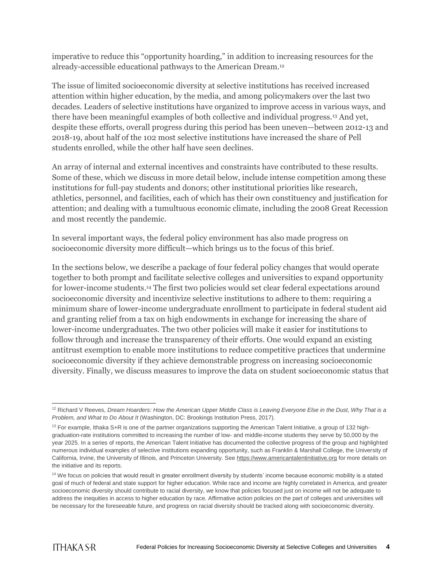imperative to reduce this "opportunity hoarding," in addition to increasing resources for the already-accessible educational pathways to the American Dream.<sup>12</sup>

The issue of limited socioeconomic diversity at selective institutions has received increased attention within higher education, by the media, and among policymakers over the last two decades. Leaders of selective institutions have organized to improve access in various ways, and there have been meaningful examples of both collective and individual progress.<sup>13</sup> And yet, despite these efforts, overall progress during this period has been uneven—between 2012-13 and 2018-19, about half of the 102 most selective institutions have increased the share of Pell students enrolled, while the other half have seen declines.

An array of internal and external incentives and constraints have contributed to these results. Some of these, which we discuss in more detail below, include intense competition among these institutions for full-pay students and donors; other institutional priorities like research, athletics, personnel, and facilities, each of which has their own constituency and justification for attention; and dealing with a tumultuous economic climate, including the 2008 Great Recession and most recently the pandemic.

In several important ways, the federal policy environment has also made progress on socioeconomic diversity more difficult—which brings us to the focus of this brief.

In the sections below, we describe a package of four federal policy changes that would operate together to both prompt and facilitate selective colleges and universities to expand opportunity for lower-income students.<sup>14</sup> The first two policies would set clear federal expectations around socioeconomic diversity and incentivize selective institutions to adhere to them: requiring a minimum share of lower-income undergraduate enrollment to participate in federal student aid and granting relief from a tax on high endowments in exchange for increasing the share of lower-income undergraduates. The two other policies will make it easier for institutions to follow through and increase the transparency of their efforts. One would expand an existing antitrust exemption to enable more institutions to reduce competitive practices that undermine socioeconomic diversity if they achieve demonstrable progress on increasing socioeconomic diversity. Finally, we discuss measures to improve the data on student socioeconomic status that

 <sup>12</sup> Richard V Reeves, *Dream Hoarders: How the American Upper Middle Class is Leaving Everyone Else in the Dust, Why That is a Problem, and What to Do About It* (Washington, DC: Brookings Institution Press, 2017).

 $13$  For example, Ithaka S+R is one of the partner organizations supporting the American Talent Initiative, a group of 132 highgraduation-rate institutions committed to increasing the number of low- and middle-income students they serve by 50,000 by the year 2025. In a series of reports, the American Talent Initiative has documented the collective progress of the group and highlighted numerous individual examples of selective institutions expanding opportunity, such as Franklin & Marshall College, the University of California, Irvine, the University of Illinois, and Princeton University. See [https://www.americantalentinitiative.org](https://www.americantalentinitiative.org/) for more details on the initiative and its reports.

<sup>&</sup>lt;sup>14</sup> We focus on policies that would result in greater enrollment diversity by students' income because economic mobility is a stated goal of much of federal and state support for higher education. While race and income are highly correlated in America, and greater socioeconomic diversity should contribute to racial diversity, we know that policies focused just on income will not be adequate to address the inequities in access to higher education by race. Affirmative action policies on the part of colleges and universities will be necessary for the foreseeable future, and progress on racial diversity should be tracked along with socioeconomic diversity.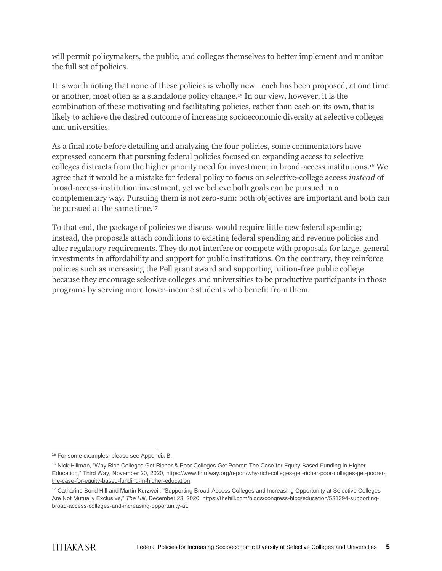will permit policymakers, the public, and colleges themselves to better implement and monitor the full set of policies.

It is worth noting that none of these policies is wholly new—each has been proposed, at one time or another, most often as a standalone policy change.<sup>15</sup> In our view, however, it is the combination of these motivating and facilitating policies, rather than each on its own, that is likely to achieve the desired outcome of increasing socioeconomic diversity at selective colleges and universities.

As a final note before detailing and analyzing the four policies, some commentators have expressed concern that pursuing federal policies focused on expanding access to selective colleges distracts from the higher priority need for investment in broad-access institutions.<sup>16</sup> We agree that it would be a mistake for federal policy to focus on selective-college access *instead* of broad-access-institution investment, yet we believe both goals can be pursued in a complementary way. Pursuing them is not zero-sum: both objectives are important and both can be pursued at the same time.<sup>17</sup>

To that end, the package of policies we discuss would require little new federal spending; instead, the proposals attach conditions to existing federal spending and revenue policies and alter regulatory requirements. They do not interfere or compete with proposals for large, general investments in affordability and support for public institutions. On the contrary, they reinforce policies such as increasing the Pell grant award and supporting tuition-free public college because they encourage selective colleges and universities to be productive participants in those programs by serving more lower-income students who benefit from them.

 $\overline{a}$ <sup>15</sup> For some examples, please see Appendix B.

<sup>&</sup>lt;sup>16</sup> Nick Hillman, "Why Rich Colleges Get Richer & Poor Colleges Get Poorer: The Case for Equity-Based Funding in Higher Education," Third Way, November 20, 2020, [https://www.thirdway.org/report/why-rich-colleges-get-richer-poor-colleges-get-poorer](https://www.thirdway.org/report/why-rich-colleges-get-richer-poor-colleges-get-poorer-the-case-for-equity-based-funding-in-higher-education)[the-case-for-equity-based-funding-in-higher-education.](https://www.thirdway.org/report/why-rich-colleges-get-richer-poor-colleges-get-poorer-the-case-for-equity-based-funding-in-higher-education)

<sup>17</sup> Catharine Bond Hill and Martin Kurzweil, "Supporting Broad-Access Colleges and Increasing Opportunity at Selective Colleges Are Not Mutually Exclusive," *The Hill*, December 23, 2020, [https://thehill.com/blogs/congress-blog/education/531394-supporting](https://thehill.com/blogs/congress-blog/education/531394-supporting-broad-access-colleges-and-increasing-opportunity-at)[broad-access-colleges-and-increasing-opportunity-at.](https://thehill.com/blogs/congress-blog/education/531394-supporting-broad-access-colleges-and-increasing-opportunity-at)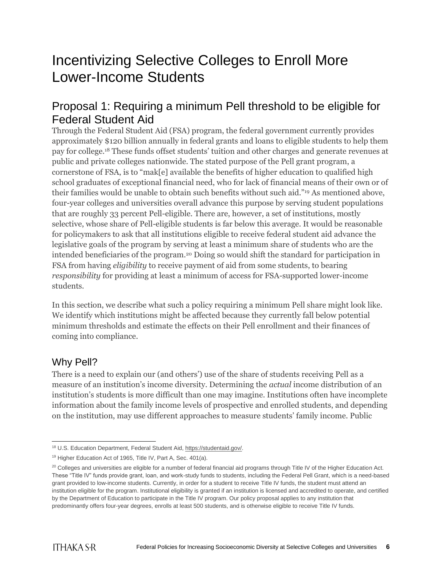### Incentivizing Selective Colleges to Enroll More Lower-Income Students

#### Proposal 1: Requiring a minimum Pell threshold to be eligible for Federal Student Aid

Through the Federal Student Aid (FSA) program, the federal government currently provides approximately \$120 billion annually in federal grants and loans to eligible students to help them pay for college.<sup>18</sup> These funds offset students' tuition and other charges and generate revenues at public and private colleges nationwide. The stated purpose of the Pell grant program, a cornerstone of FSA, is to "mak[e] available the benefits of higher education to qualified high school graduates of exceptional financial need, who for lack of financial means of their own or of their families would be unable to obtain such benefits without such aid."<sup>19</sup> As mentioned above, four-year colleges and universities overall advance this purpose by serving student populations that are roughly 33 percent Pell-eligible. There are, however, a set of institutions, mostly selective, whose share of Pell-eligible students is far below this average. It would be reasonable for policymakers to ask that all institutions eligible to receive federal student aid advance the legislative goals of the program by serving at least a minimum share of students who are the intended beneficiaries of the program.<sup>20</sup> Doing so would shift the standard for participation in FSA from having *eligibility* to receive payment of aid from some students, to bearing *responsibility* for providing at least a minimum of access for FSA-supported lower-income students.

In this section, we describe what such a policy requiring a minimum Pell share might look like. We identify which institutions might be affected because they currently fall below potential minimum thresholds and estimate the effects on their Pell enrollment and their finances of coming into compliance.

#### Why Pell?

There is a need to explain our (and others') use of the share of students receiving Pell as a measure of an institution's income diversity. Determining the *actual* income distribution of an institution's students is more difficult than one may imagine. Institutions often have incomplete information about the family income levels of prospective and enrolled students, and depending on the institution, may use different approaches to measure students' family income. Public

 <sup>18</sup> U.S. Education Department, Federal Student Aid, [https://studentaid.gov/.](https://studentaid.gov/)

<sup>&</sup>lt;sup>19</sup> Higher Education Act of 1965, Title IV, Part A, Sec. 401(a).

 $20$  Colleges and universities are eligible for a number of federal financial aid programs through Title IV of the Higher Education Act. These "Title IV" funds provide grant, loan, and work-study funds to students, including the Federal Pell Grant, which is a need-based grant provided to low-income students. Currently, in order for a student to receive Title IV funds, the student must attend an institution eligible for the program. Institutional eligibility is granted if an institution is licensed and accredited to operate, and certified by the Department of Education to participate in the Title IV program. Our policy proposal applies to any institution that predominantly offers four-year degrees, enrolls at least 500 students, and is otherwise eligible to receive Title IV funds.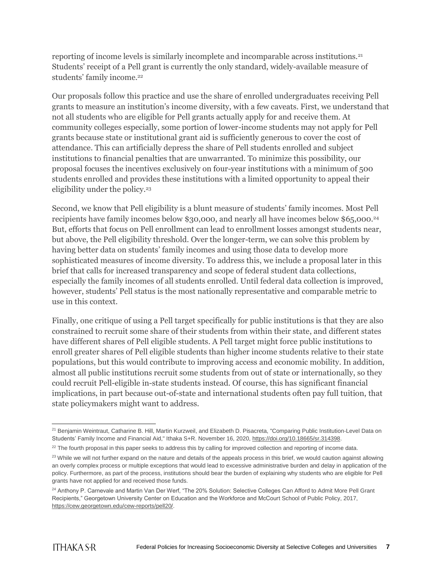reporting of income levels is similarly incomplete and incomparable across institutions.<sup>21</sup> Students' receipt of a Pell grant is currently the only standard, widely-available measure of students' family income.<sup>22</sup>

Our proposals follow this practice and use the share of enrolled undergraduates receiving Pell grants to measure an institution's income diversity, with a few caveats. First, we understand that not all students who are eligible for Pell grants actually apply for and receive them. At community colleges especially, some portion of lower-income students may not apply for Pell grants because state or institutional grant aid is sufficiently generous to cover the cost of attendance. This can artificially depress the share of Pell students enrolled and subject institutions to financial penalties that are unwarranted. To minimize this possibility, our proposal focuses the incentives exclusively on four-year institutions with a minimum of 500 students enrolled and provides these institutions with a limited opportunity to appeal their eligibility under the policy.<sup>23</sup>

Second, we know that Pell eligibility is a blunt measure of students' family incomes. Most Pell recipients have family incomes below \$30,000, and nearly all have incomes below \$65,000.<sup>24</sup> But, efforts that focus on Pell enrollment can lead to enrollment losses amongst students near, but above, the Pell eligibility threshold. Over the longer-term, we can solve this problem by having better data on students' family incomes and using those data to develop more sophisticated measures of income diversity. To address this, we include a proposal later in this brief that calls for increased transparency and scope of federal student data collections, especially the family incomes of all students enrolled. Until federal data collection is improved, however, students' Pell status is the most nationally representative and comparable metric to use in this context.

Finally, one critique of using a Pell target specifically for public institutions is that they are also constrained to recruit some share of their students from within their state, and different states have different shares of Pell eligible students. A Pell target might force public institutions to enroll greater shares of Pell eligible students than higher income students relative to their state populations, but this would contribute to improving access and economic mobility. In addition, almost all public institutions recruit some students from out of state or internationally, so they could recruit Pell-eligible in-state students instead. Of course, this has significant financial implications, in part because out-of-state and international students often pay full tuition, that state policymakers might want to address.

 $\overline{a}$ <sup>21</sup> Benjamin Weintraut, Catharine B. Hill, Martin Kurzweil, and Elizabeth D. Pisacreta, "Comparing Public Institution-Level Data on Students' Family Income and Financial Aid," Ithaka S+R. November 16, 2020, [https://doi.org/10.18665/sr.314398.](https://doi.org/10.18665/sr.314398)

<sup>&</sup>lt;sup>22</sup> The fourth proposal in this paper seeks to address this by calling for improved collection and reporting of income data.

<sup>&</sup>lt;sup>23</sup> While we will not further expand on the nature and details of the appeals process in this brief, we would caution against allowing an overly complex process or multiple exceptions that would lead to excessive administrative burden and delay in application of the policy. Furthermore, as part of the process, institutions should bear the burden of explaining why students who are eligible for Pell grants have not applied for and received those funds.

<sup>&</sup>lt;sup>24</sup> Anthony P. Carnevale and Martin Van Der Werf, "The 20% Solution: Selective Colleges Can Afford to Admit More Pell Grant Recipients," Georgetown University Center on Education and the Workforce and McCourt School of Public Policy, 2017, [https://cew.georgetown.edu/cew-reports/pell20/.](https://cew.georgetown.edu/cew-reports/pell20/)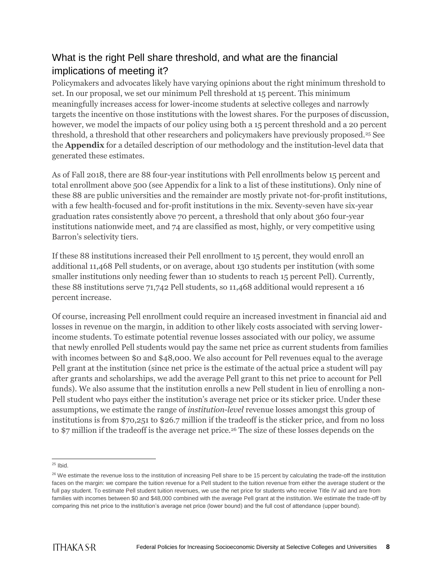#### What is the right Pell share threshold, and what are the financial implications of meeting it?

Policymakers and advocates likely have varying opinions about the right minimum threshold to set. In our proposal, we set our minimum Pell threshold at 15 percent. This minimum meaningfully increases access for lower-income students at selective colleges and narrowly targets the incentive on those institutions with the lowest shares. For the purposes of discussion, however, we model the impacts of our policy using both a 15 percent threshold and a 20 percent threshold, a threshold that other researchers and policymakers have previously proposed.<sup>25</sup> See the **Appendix** for a detailed description of our methodology and the institution-level data that generated these estimates.

As of Fall 2018, there are 88 four-year institutions with Pell enrollments below 15 percent and total enrollment above 500 (see Appendix for a link to a list of these institutions). Only nine of these 88 are public universities and the remainder are mostly private not-for-profit institutions, with a few health-focused and for-profit institutions in the mix. Seventy-seven have six-year graduation rates consistently above 70 percent, a threshold that only about 360 four-year institutions nationwide meet, and 74 are classified as most, highly, or very competitive using Barron's selectivity tiers.

If these 88 institutions increased their Pell enrollment to 15 percent, they would enroll an additional 11,468 Pell students, or on average, about 130 students per institution (with some smaller institutions only needing fewer than 10 students to reach 15 percent Pell). Currently, these 88 institutions serve 71,742 Pell students, so 11,468 additional would represent a 16 percent increase.

Of course, increasing Pell enrollment could require an increased investment in financial aid and losses in revenue on the margin, in addition to other likely costs associated with serving lowerincome students. To estimate potential revenue losses associated with our policy, we assume that newly enrolled Pell students would pay the same net price as current students from families with incomes between \$0 and \$48,000. We also account for Pell revenues equal to the average Pell grant at the institution (since net price is the estimate of the actual price a student will pay after grants and scholarships, we add the average Pell grant to this net price to account for Pell funds). We also assume that the institution enrolls a new Pell student in lieu of enrolling a non-Pell student who pays either the institution's average net price or its sticker price. Under these assumptions, we estimate the range of *institution-level* revenue losses amongst this group of institutions is from \$70,251 to \$26.7 million if the tradeoff is the sticker price, and from no loss to \$7 million if the tradeoff is the average net price.<sup>26</sup> The size of these losses depends on the

 $\overline{a}$  $25$  Ibid.

<sup>&</sup>lt;sup>26</sup> We estimate the revenue loss to the institution of increasing Pell share to be 15 percent by calculating the trade-off the institution faces on the margin: we compare the tuition revenue for a Pell student to the tuition revenue from either the average student or the full pay student. To estimate Pell student tuition revenues, we use the net price for students who receive Title IV aid and are from families with incomes between \$0 and \$48,000 combined with the average Pell grant at the institution. We estimate the trade-off by comparing this net price to the institution's average net price (lower bound) and the full cost of attendance (upper bound).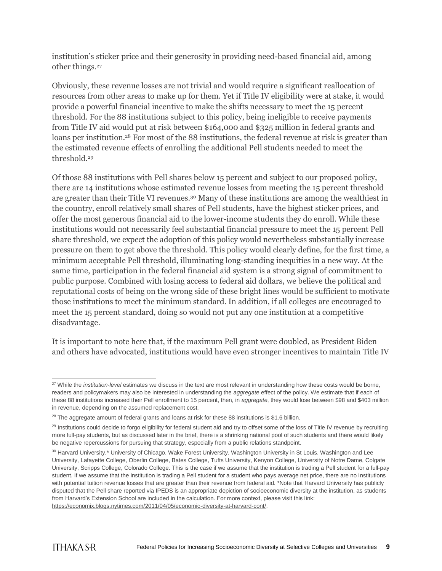institution's sticker price and their generosity in providing need-based financial aid, among other things.<sup>27</sup>

Obviously, these revenue losses are not trivial and would require a significant reallocation of resources from other areas to make up for them. Yet if Title IV eligibility were at stake, it would provide a powerful financial incentive to make the shifts necessary to meet the 15 percent threshold. For the 88 institutions subject to this policy, being ineligible to receive payments from Title IV aid would put at risk between \$164,000 and \$325 million in federal grants and loans per institution.<sup>28</sup> For most of the 88 institutions, the federal revenue at risk is greater than the estimated revenue effects of enrolling the additional Pell students needed to meet the threshold.<sup>29</sup>

Of those 88 institutions with Pell shares below 15 percent and subject to our proposed policy, there are 14 institutions whose estimated revenue losses from meeting the 15 percent threshold are greater than their Title VI revenues.<sup>30</sup> Many of these institutions are among the wealthiest in the country, enroll relatively small shares of Pell students, have the highest sticker prices, and offer the most generous financial aid to the lower-income students they do enroll. While these institutions would not necessarily feel substantial financial pressure to meet the 15 percent Pell share threshold, we expect the adoption of this policy would nevertheless substantially increase pressure on them to get above the threshold. This policy would clearly define, for the first time, a minimum acceptable Pell threshold, illuminating long-standing inequities in a new way. At the same time, participation in the federal financial aid system is a strong signal of commitment to public purpose. Combined with losing access to federal aid dollars, we believe the political and reputational costs of being on the wrong side of these bright lines would be sufficient to motivate those institutions to meet the minimum standard. In addition, if all colleges are encouraged to meet the 15 percent standard, doing so would not put any one institution at a competitive disadvantage.

It is important to note here that, if the maximum Pell grant were doubled, as President Biden and others have advocated, institutions would have even stronger incentives to maintain Title IV

 <sup>27</sup> While the *institution-level* estimates we discuss in the text are most relevant in understanding how these costs would be borne, readers and policymakers may also be interested in understanding the *aggregate* effect of the policy. We estimate that if each of these 88 institutions increased their Pell enrollment to 15 percent, then, in *aggregate*, they would lose between \$98 and \$403 million in revenue, depending on the assumed replacement cost.

<sup>&</sup>lt;sup>28</sup> The aggregate amount of federal grants and loans at risk for these 88 institutions is \$1.6 billion.

<sup>&</sup>lt;sup>29</sup> Institutions could decide to forgo eligibility for federal student aid and try to offset some of the loss of Title IV revenue by recruiting more full-pay students, but as discussed later in the brief, there is a shrinking national pool of such students and there would likely be negative repercussions for pursuing that strategy, especially from a public relations standpoint.

<sup>30</sup> Harvard University,\* University of Chicago, Wake Forest University, Washington University in St Louis, Washington and Lee University, Lafayette College, Oberlin College, Bates College, Tufts University, Kenyon College, University of Notre Dame, Colgate University, Scripps College, Colorado College. This is the case if we assume that the institution is trading a Pell student for a full-pay student. If we assume that the institution is trading a Pell student for a student who pays average net price, there are no institutions with potential tuition revenue losses that are greater than their revenue from federal aid. \*Note that Harvard University has publicly disputed that the Pell share reported via IPEDS is an appropriate depiction of socioeconomic diversity at the institution, as students from Harvard's Extension School are included in the calculation. For more context, please visit this link: [https://economix.blogs.nytimes.com/2011/04/05/economic-diversity-at-harvard-cont/.](https://economix.blogs.nytimes.com/2011/04/05/economic-diversity-at-harvard-cont/)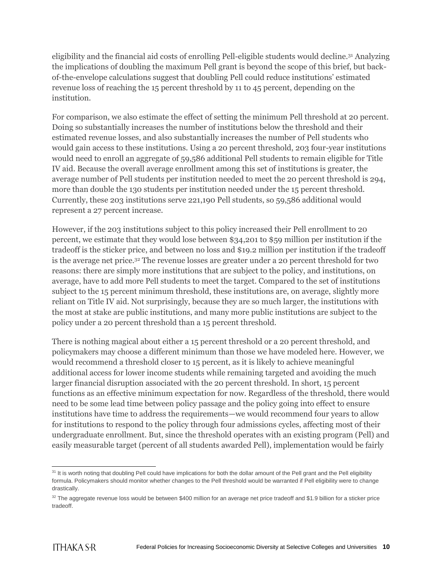eligibility and the financial aid costs of enrolling Pell-eligible students would decline.<sup>31</sup> Analyzing the implications of doubling the maximum Pell grant is beyond the scope of this brief, but backof-the-envelope calculations suggest that doubling Pell could reduce institutions' estimated revenue loss of reaching the 15 percent threshold by 11 to 45 percent, depending on the institution.

For comparison, we also estimate the effect of setting the minimum Pell threshold at 20 percent. Doing so substantially increases the number of institutions below the threshold and their estimated revenue losses, and also substantially increases the number of Pell students who would gain access to these institutions. Using a 20 percent threshold, 203 four-year institutions would need to enroll an aggregate of 59,586 additional Pell students to remain eligible for Title IV aid. Because the overall average enrollment among this set of institutions is greater, the average number of Pell students per institution needed to meet the 20 percent threshold is 294, more than double the 130 students per institution needed under the 15 percent threshold. Currently, these 203 institutions serve 221,190 Pell students, so 59,586 additional would represent a 27 percent increase.

However, if the 203 institutions subject to this policy increased their Pell enrollment to 20 percent, we estimate that they would lose between \$34,201 to \$59 million per institution if the tradeoff is the sticker price, and between no loss and \$19.2 million per institution if the tradeoff is the average net price.<sup>32</sup> The revenue losses are greater under a 20 percent threshold for two reasons: there are simply more institutions that are subject to the policy, and institutions, on average, have to add more Pell students to meet the target. Compared to the set of institutions subject to the 15 percent minimum threshold, these institutions are, on average, slightly more reliant on Title IV aid. Not surprisingly, because they are so much larger, the institutions with the most at stake are public institutions, and many more public institutions are subject to the policy under a 20 percent threshold than a 15 percent threshold.

There is nothing magical about either a 15 percent threshold or a 20 percent threshold, and policymakers may choose a different minimum than those we have modeled here. However, we would recommend a threshold closer to 15 percent, as it is likely to achieve meaningful additional access for lower income students while remaining targeted and avoiding the much larger financial disruption associated with the 20 percent threshold. In short, 15 percent functions as an effective minimum expectation for now. Regardless of the threshold, there would need to be some lead time between policy passage and the policy going into effect to ensure institutions have time to address the requirements—we would recommend four years to allow for institutions to respond to the policy through four admissions cycles, affecting most of their undergraduate enrollment. But, since the threshold operates with an existing program (Pell) and easily measurable target (percent of all students awarded Pell), implementation would be fairly

 $\overline{a}$ <sup>31</sup> It is worth noting that doubling Pell could have implications for both the dollar amount of the Pell grant and the Pell eligibility formula. Policymakers should monitor whether changes to the Pell threshold would be warranted if Pell eligibility were to change drastically.

<sup>32</sup> The aggregate revenue loss would be between \$400 million for an average net price tradeoff and \$1.9 billion for a sticker price tradeoff.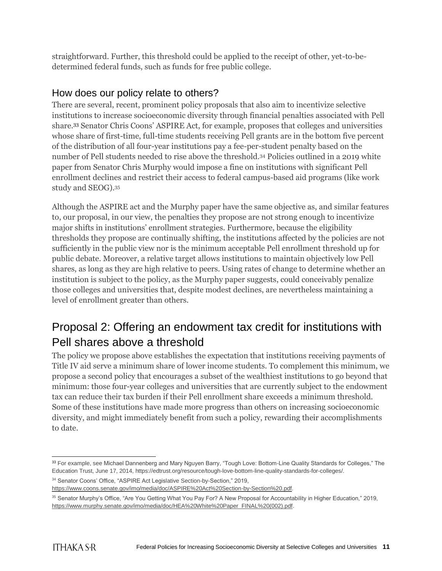straightforward. Further, this threshold could be applied to the receipt of other, yet-to-bedetermined federal funds, such as funds for free public college.

#### How does our policy relate to others?

There are several, recent, prominent policy proposals that also aim to incentivize selective institutions to increase socioeconomic diversity through financial penalties associated with Pell share.<sup>33</sup> Senator Chris Coons' ASPIRE Act, for example, proposes that colleges and universities whose share of first-time, full-time students receiving Pell grants are in the bottom five percent of the distribution of all four-year institutions pay a fee-per-student penalty based on the number of Pell students needed to rise above the threshold.<sup>34</sup> Policies outlined in a 2019 white paper from Senator Chris Murphy would impose a fine on institutions with significant Pell enrollment declines and restrict their access to federal campus-based aid programs (like work study and SEOG).<sup>35</sup>

Although the ASPIRE act and the Murphy paper have the same objective as, and similar features to, our proposal, in our view, the penalties they propose are not strong enough to incentivize major shifts in institutions' enrollment strategies. Furthermore, because the eligibility thresholds they propose are continually shifting, the institutions affected by the policies are not sufficiently in the public view nor is the minimum acceptable Pell enrollment threshold up for public debate. Moreover, a relative target allows institutions to maintain objectively low Pell shares, as long as they are high relative to peers. Using rates of change to determine whether an institution is subject to the policy, as the Murphy paper suggests, could conceivably penalize those colleges and universities that, despite modest declines, are nevertheless maintaining a level of enrollment greater than others.

### Proposal 2: Offering an endowment tax credit for institutions with Pell shares above a threshold

The policy we propose above establishes the expectation that institutions receiving payments of Title IV aid serve a minimum share of lower income students. To complement this minimum, we propose a second policy that encourages a subset of the wealthiest institutions to go beyond that minimum: those four-year colleges and universities that are currently subject to the endowment tax can reduce their tax burden if their Pell enrollment share exceeds a minimum threshold. Some of these institutions have made more progress than others on increasing socioeconomic diversity, and might immediately benefit from such a policy, rewarding their accomplishments to date.

 $\overline{a}$ <sup>33</sup> For example, see Michael Dannenberg and Mary Nguyen Barry, "Tough Love: Bottom-Line Quality Standards for Colleges," The Education Trust, June 17, 2014, https://edtrust.org/resource/tough-love-bottom-line-quality-standards-for-colleges/.

<sup>34</sup> Senator Coons' Office, "ASPIRE Act Legislative Section-by-Section," 2019,

[https://www.coons.senate.gov/imo/media/doc/ASPIRE%20Act%20Section-by-Section%20.pdf.](https://www.coons.senate.gov/imo/media/doc/ASPIRE%20Act%20Section-by-Section%20.pdf)

<sup>35</sup> Senator Murphy's Office, "Are You Getting What You Pay For? A New Proposal for Accountability in Higher Education," 2019, [https://www.murphy.senate.gov/imo/media/doc/HEA%20White%20Paper\\_FINAL%20\(002\).pdf.](https://www.murphy.senate.gov/imo/media/doc/HEA%20White%20Paper_FINAL%20(002).pdf)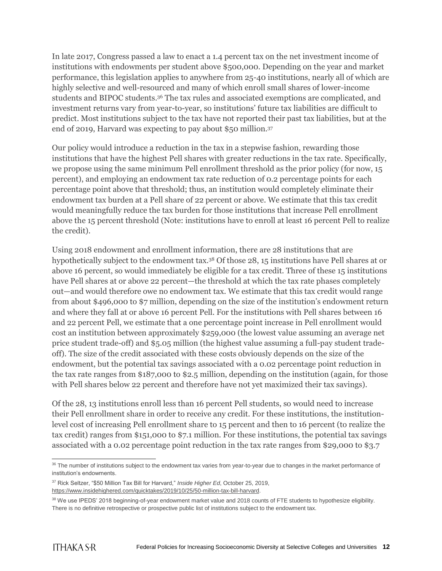In late 2017, Congress passed a law to enact a 1.4 percent tax on the net investment income of institutions with endowments per student above \$500,000. Depending on the year and market performance, this legislation applies to anywhere from 25-40 institutions, nearly all of which are highly selective and well-resourced and many of which enroll small shares of lower-income students and BIPOC students.<sup>36</sup> The tax rules and associated exemptions are complicated, and investment returns vary from year-to-year, so institutions' future tax liabilities are difficult to predict. Most institutions subject to the tax have not reported their past tax liabilities, but at the end of 2019, Harvard was expecting to pay about \$50 million.<sup>37</sup>

Our policy would introduce a reduction in the tax in a stepwise fashion, rewarding those institutions that have the highest Pell shares with greater reductions in the tax rate. Specifically, we propose using the same minimum Pell enrollment threshold as the prior policy (for now, 15 percent), and employing an endowment tax rate reduction of 0.2 percentage points for each percentage point above that threshold; thus, an institution would completely eliminate their endowment tax burden at a Pell share of 22 percent or above. We estimate that this tax credit would meaningfully reduce the tax burden for those institutions that increase Pell enrollment above the 15 percent threshold (Note: institutions have to enroll at least 16 percent Pell to realize the credit).

Using 2018 endowment and enrollment information, there are 28 institutions that are hypothetically subject to the endowment tax.<sup>38</sup> Of those 28, 15 institutions have Pell shares at or above 16 percent, so would immediately be eligible for a tax credit. Three of these 15 institutions have Pell shares at or above 22 percent—the threshold at which the tax rate phases completely out—and would therefore owe no endowment tax. We estimate that this tax credit would range from about \$496,000 to \$7 million, depending on the size of the institution's endowment return and where they fall at or above 16 percent Pell. For the institutions with Pell shares between 16 and 22 percent Pell, we estimate that a one percentage point increase in Pell enrollment would cost an institution between approximately \$259,000 (the lowest value assuming an average net price student trade-off) and \$5.05 million (the highest value assuming a full-pay student tradeoff). The size of the credit associated with these costs obviously depends on the size of the endowment, but the potential tax savings associated with a 0.02 percentage point reduction in the tax rate ranges from \$187,000 to \$2.5 million, depending on the institution (again, for those with Pell shares below 22 percent and therefore have not yet maximized their tax savings).

Of the 28, 13 institutions enroll less than 16 percent Pell students, so would need to increase their Pell enrollment share in order to receive any credit. For these institutions, the institutionlevel cost of increasing Pell enrollment share to 15 percent and then to 16 percent (to realize the tax credit) ranges from \$151,000 to \$7.1 million. For these institutions, the potential tax savings associated with a 0.02 percentage point reduction in the tax rate ranges from \$29,000 to \$3.7

 $\overline{a}$ <sup>36</sup> The number of institutions subject to the endowment tax varies from year-to-year due to changes in the market performance of institution's endowments.

<sup>37</sup> Rick Seltzer, "\$50 Million Tax Bill for Harvard," *Inside Higher Ed*, October 25, 2019, [https://www.insidehighered.com/quicktakes/2019/10/25/50-million-tax-bill-harvard.](https://www.insidehighered.com/quicktakes/2019/10/25/50-million-tax-bill-harvard)

<sup>38</sup> We use IPEDS' 2018 beginning-of-year endowment market value and 2018 counts of FTE students to hypothesize eligibility. There is no definitive retrospective or prospective public list of institutions subject to the endowment tax.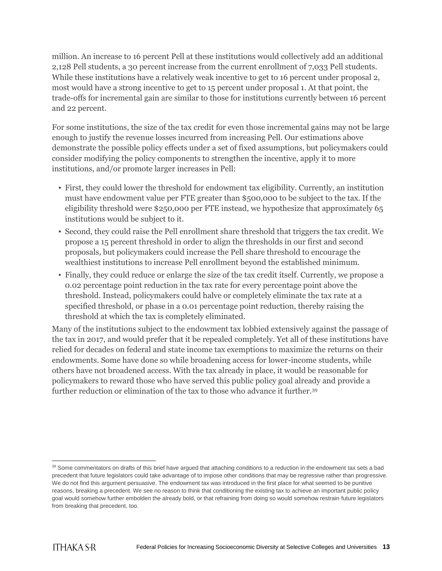million. An increase to 16 percent Pell at these institutions would collectively add an additional 2,128 Pell students, a 30 percent increase from the current enrollment of 7,033 Pell students. While these institutions have a relatively weak incentive to get to 16 percent under proposal 2, most would have a strong incentive to get to 15 percent under proposal 1. At that point, the trade-offs for incremental gain are similar to those for institutions currently between 16 percent and 22 percent.

For some institutions, the size of the tax credit for even those incremental gains may not be large enough to justify the revenue losses incurred from increasing Pell. Our estimations above demonstrate the possible policy effects under a set of fixed assumptions, but policymakers could consider modifying the policy components to strengthen the incentive, apply it to more institutions, and/or promote larger increases in Pell:

- First, they could lower the threshold for endowment tax eligibility. Currently, an institution must have endowment value per FTE greater than \$500,000 to be subject to the tax. If the eligibility threshold were \$250,000 per FTE instead, we hypothesize that approximately 65 institutions would be subject to it.
- Second, they could raise the Pell enrollment share threshold that triggers the tax credit. We propose a 15 percent threshold in order to align the thresholds in our first and second proposals, but policymakers could increase the Pell share threshold to encourage the wealthiest institutions to increase Pell enrollment beyond the established minimum.
- Finally, they could reduce or enlarge the size of the tax credit itself. Currently, we propose a 0.02 percentage point reduction in the tax rate for every percentage point above the threshold. Instead, policymakers could halve or completely eliminate the tax rate at a specified threshold, or phase in a 0.01 percentage point reduction, thereby raising the threshold at which the tax is completely eliminated.

Many of the institutions subject to the endowment tax lobbied extensively against the passage of the tax in 2017, and would prefer that it be repealed completely. Yet all of these institutions have relied for decades on federal and state income tax exemptions to maximize the returns on their endowments. Some have done so while broadening access for lower-income students, while others have not broadened access. With the tax already in place, it would be reasonable for policymakers to reward those who have served this public policy goal already and provide a further reduction or elimination of the tax to those who advance it further.<sup>39</sup>

 $\overline{a}$ <sup>39</sup> Some commentators on drafts of this brief have argued that attaching conditions to a reduction in the endowment tax sets a bad precedent that future legislators could take advantage of to impose other conditions that may be regressive rather than progressive. We do not find this argument persuasive. The endowment tax was introduced in the first place for what seemed to be punitive reasons, breaking a precedent. We see no reason to think that conditioning the existing tax to achieve an important public policy goal would somehow further embolden the already bold, or that refraining from doing so would somehow restrain future legislators from breaking that precedent, too.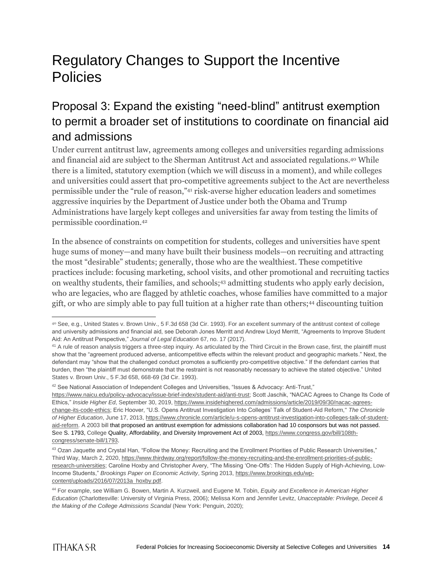## Regulatory Changes to Support the Incentive Policies

### Proposal 3: Expand the existing "need-blind" antitrust exemption to permit a broader set of institutions to coordinate on financial aid and admissions

Under current antitrust law, agreements among colleges and universities regarding admissions and financial aid are subject to the Sherman Antitrust Act and associated regulations.<sup>40</sup> While there is a limited, statutory exemption (which we will discuss in a moment), and while colleges and universities could assert that pro-competitive agreements subject to the Act are nevertheless permissible under the "rule of reason,"<sup>41</sup> risk-averse higher education leaders and sometimes aggressive inquiries by the Department of Justice under both the Obama and Trump Administrations have largely kept colleges and universities far away from testing the limits of permissible coordination.<sup>42</sup>

In the absence of constraints on competition for students, colleges and universities have spent huge sums of money—and many have built their business models—on recruiting and attracting the most "desirable" students; generally, those who are the wealthiest. These competitive practices include: focusing marketing, school visits, and other promotional and recruiting tactics on wealthy students, their families, and schools;<sup>43</sup> admitting students who apply early decision, who are legacies, who are flagged by athletic coaches, whose families have committed to a major gift, or who are simply able to pay full tuition at a higher rate than others;<sup>44</sup> discounting tuition

42 See National Association of Independent Colleges and Universities, "Issues & Advocacy: Anti-Trust,"

 <sup>40</sup> See, e.g., United States v. Brown Univ., 5 F.3d 658 (3d Cir. 1993). For an excellent summary of the antitrust context of college and university admissions and financial aid, see Deborah Jones Merritt and Andrew Lloyd Merritt, "Agreements to Improve Student Aid: An Antitrust Perspective," *Journal of Legal Education* 67, no. 17 (2017).

<sup>&</sup>lt;sup>41</sup> A rule of reason analysis triggers a three-step inquiry. As articulated by the Third Circuit in the Brown case, first, the plaintiff must show that the "agreement produced adverse, anticompetitive effects within the relevant product and geographic markets." Next, the defendant may "show that the challenged conduct promotes a sufficiently pro-competitive objective." If the defendant carries that burden, then "the plaintiff must demonstrate that the restraint is not reasonably necessary to achieve the stated objective." United States v. Brown Univ., 5 F.3d 658, 668-69 (3d Cir. 1993).

[https://www.naicu.edu/policy-advocacy/issue-brief-index/student-aid/anti-trust;](https://www.naicu.edu/policy-advocacy/issue-brief-index/student-aid/anti-trust) Scott Jaschik, "NACAC Agrees to Change Its Code of Ethics," *Inside Higher Ed*, September 30, 2019, [https://www.insidehighered.com/admissions/article/2019/09/30/nacac-agrees](https://www.insidehighered.com/admissions/article/2019/09/30/nacac-agrees-change-its-code-ethic)[change-its-code-ethics;](https://www.insidehighered.com/admissions/article/2019/09/30/nacac-agrees-change-its-code-ethic) Eric Hoover, "U.S. Opens Antitrust Investigation Into Colleges' Talk of Student-Aid Reform,'' *The Chronicle of Higher Education*, June 17, 2013, [https://www.chronicle.com/article/u-s-opens-antitrust-investigation-into-colleges-talk-of-student](https://www.chronicle.com/article/u-s-opens-antitrust-investigation-into-colleges-talk-of-student-aid-reform)[aid-reform.](https://www.chronicle.com/article/u-s-opens-antitrust-investigation-into-colleges-talk-of-student-aid-reform) A 2003 bill that proposed an antitrust exemption for admissions collaboration had 10 cosponsors but was not passed. See S. 1793, College Quality, Affordability, and Diversity Improvement Act of 2003[, https://www.congress.gov/bill/108th](https://www.congress.gov/bill/108th-congress/senate-bill/1793)[congress/senate-bill/1793.](https://www.congress.gov/bill/108th-congress/senate-bill/1793)

<sup>43</sup> Ozan Jaquette and Crystal Han, "Follow the Money: Recruiting and the Enrollment Priorities of Public Research Universities," Third Way, March 2, 2020, [https://www.thirdway.org/report/follow-the-money-recruiting-and-the-enrollment-priorities-of-public](https://www.thirdway.org/report/follow-the-money-recruiting-and-the-enrollment-priorities-of-public-research-universities)[research-universities;](https://www.thirdway.org/report/follow-the-money-recruiting-and-the-enrollment-priorities-of-public-research-universities) Caroline Hoxby and Christopher Avery, "The Missing 'One-Offs': The Hidden Supply of High-Achieving, Low-Income Students," *Brookings Paper on Economic Activity*, Spring 2013, [https://www.brookings.edu/wp](https://www.brookings.edu/wp-content/uploads/2016/07/2013a_hoxby.pdf)[content/uploads/2016/07/2013a\\_hoxby.pdf.](https://www.brookings.edu/wp-content/uploads/2016/07/2013a_hoxby.pdf)

<sup>44</sup> For example, see William G. Bowen, Martin A. Kurzweil, and Eugene M. Tobin, *Equity and Excellence in American Higher Education* (Charlottesville: University of Virginia Press, 2006); Melissa Korn and Jennifer Levitz, *Unacceptable: Privilege, Deceit & the Making of the College Admissions Scandal* (New York: Penguin, 2020);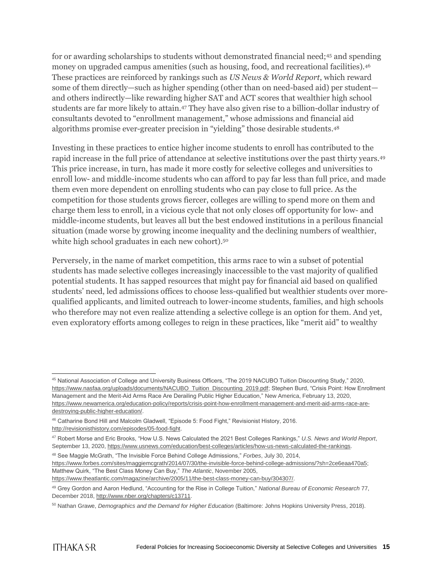for or awarding scholarships to students without demonstrated financial need;<sup>45</sup> and spending money on upgraded campus amenities (such as housing, food, and recreational facilities).<sup>46</sup> These practices are reinforced by rankings such as *US News & World Report*, which reward some of them directly—such as higher spending (other than on need-based aid) per student and others indirectly—like rewarding higher SAT and ACT scores that wealthier high school students are far more likely to attain.<sup>47</sup> They have also given rise to a billion-dollar industry of consultants devoted to "enrollment management," whose admissions and financial aid algorithms promise ever-greater precision in "yielding" those desirable students.<sup>48</sup>

Investing in these practices to entice higher income students to enroll has contributed to the rapid increase in the full price of attendance at selective institutions over the past thirty years.<sup>49</sup> This price increase, in turn, has made it more costly for selective colleges and universities to enroll low- and middle-income students who can afford to pay far less than full price, and made them even more dependent on enrolling students who can pay close to full price. As the competition for those students grows fiercer, colleges are willing to spend more on them and charge them less to enroll, in a vicious cycle that not only closes off opportunity for low- and middle-income students, but leaves all but the best endowed institutions in a perilous financial situation (made worse by growing income inequality and the declining numbers of wealthier, white high school graduates in each new cohort).<sup>50</sup>

Perversely, in the name of market competition, this arms race to win a subset of potential students has made selective colleges increasingly inaccessible to the vast majority of qualified potential students. It has sapped resources that might pay for financial aid based on qualified students' need, led admissions offices to choose less-qualified but wealthier students over morequalified applicants, and limited outreach to lower-income students, families, and high schools who therefore may not even realize attending a selective college is an option for them. And yet, even exploratory efforts among colleges to reign in these practices, like "merit aid" to wealthy

[https://www.theatlantic.com/magazine/archive/2005/11/the-best-class-money-can-buy/304307/.](https://www.theatlantic.com/magazine/archive/2005/11/the-best-class-money-can-buy/304307/)

 <sup>45</sup> National Association of College and University Business Officers, "The 2019 NACUBO Tuition Discounting Study," 2020, [https://www.nasfaa.org/uploads/documents/NACUBO\\_Tuition\\_Discounting\\_2019.pdf;](https://www.nasfaa.org/uploads/documents/NACUBO_Tuition_Discounting_2019.pdf) Stephen Burd, "Crisis Point: How Enrollment Management and the Merit-Aid Arms Race Are Derailing Public Higher Education," New America, February 13, 2020, [https://www.newamerica.org/education-policy/reports/crisis-point-how-enrollment-management-and-merit-aid-arms-race-are](https://www.newamerica.org/education-policy/reports/crisis-point-how-enrollment-management-and-merit-aid-arms-race-are-destroying-public-higher-education/)[destroying-public-higher-education/.](https://www.newamerica.org/education-policy/reports/crisis-point-how-enrollment-management-and-merit-aid-arms-race-are-destroying-public-higher-education/)

<sup>46</sup> Catharine Bond Hill and Malcolm Gladwell, "Episode 5: Food Fight," Revisionist History, 2016. [http://revisionisthistory.com/episodes/05-food-fight.](http://revisionisthistory.com/episodes/05-food-fight)

<sup>47</sup> Robert Morse and Eric Brooks, "How U.S. News Calculated the 2021 Best Colleges Rankings," *U.S. News and World Report*, September 13, 2020, [https://www.usnews.com/education/best-colleges/articles/how-us-news-calculated-the-rankings.](https://www.usnews.com/education/best-colleges/articles/how-us-news-calculated-the-rankings)

<sup>48</sup> See Maggie McGrath, "The Invisible Force Behind College Admissions," *Forbes*, July 30, 2014,

https://www.forbes.com/sites/maggiemcgrath/2014/07/30/the-invisible-force-behind-college-admissions/?sh=2ce6eaa470a5; Matthew Quirk, "The Best Class Money Can Buy," *The Atlantic*, November 2005,

<sup>49</sup> Grey Gordon and Aaron Hedlund, "Accounting for the Rise in College Tuition," *National Bureau of Economic Research* 77, December 2018, [http://www.nber.org/chapters/c13711.](http://www.nber.org/chapters/c13711)

<sup>50</sup> Nathan Grawe, *Demographics and the Demand for Higher Education* (Baltimore: Johns Hopkins University Press, 2018).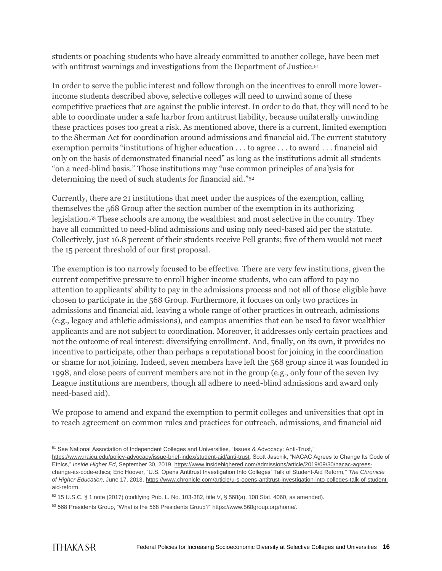students or poaching students who have already committed to another college, have been met with antitrust warnings and investigations from the Department of Justice.<sup>51</sup>

In order to serve the public interest and follow through on the incentives to enroll more lowerincome students described above, selective colleges will need to unwind some of these competitive practices that are against the public interest. In order to do that, they will need to be able to coordinate under a safe harbor from antitrust liability, because unilaterally unwinding these practices poses too great a risk. As mentioned above, there is a current, limited exemption to the Sherman Act for coordination around admissions and financial aid. The current statutory exemption permits "institutions of higher education . . . to agree . . . to award . . . financial aid only on the basis of demonstrated financial need" as long as the institutions admit all students "on a need-blind basis." Those institutions may "use common principles of analysis for determining the need of such students for financial aid."<sup>52</sup>

Currently, there are 21 institutions that meet under the auspices of the exemption, calling themselves the 568 Group after the section number of the exemption in its authorizing legislation.<sup>53</sup> These schools are among the wealthiest and most selective in the country. They have all committed to need-blind admissions and using only need-based aid per the statute. Collectively, just 16.8 percent of their students receive Pell grants; five of them would not meet the 15 percent threshold of our first proposal.

The exemption is too narrowly focused to be effective. There are very few institutions, given the current competitive pressure to enroll higher income students, who can afford to pay no attention to applicants' ability to pay in the admissions process and not all of those eligible have chosen to participate in the 568 Group. Furthermore, it focuses on only two practices in admissions and financial aid, leaving a whole range of other practices in outreach, admissions (e.g., legacy and athletic admissions), and campus amenities that can be used to favor wealthier applicants and are not subject to coordination. Moreover, it addresses only certain practices and not the outcome of real interest: diversifying enrollment. And, finally, on its own, it provides no incentive to participate, other than perhaps a reputational boost for joining in the coordination or shame for not joining. Indeed, seven members have left the 568 group since it was founded in 1998, and close peers of current members are not in the group (e.g., only four of the seven Ivy League institutions are members, though all adhere to need-blind admissions and award only need-based aid).

We propose to amend and expand the exemption to permit colleges and universities that opt in to reach agreement on common rules and practices for outreach, admissions, and financial aid

 $\overline{a}$ <sup>51</sup> See National Association of Independent Colleges and Universities, "Issues & Advocacy: Anti-Trust,"

[https://www.naicu.edu/policy-advocacy/issue-brief-index/student-aid/anti-trust;](https://www.naicu.edu/policy-advocacy/issue-brief-index/student-aid/anti-trust) Scott Jaschik, "NACAC Agrees to Change Its Code of Ethics," *Inside Higher Ed*, September 30, 2019, [https://www.insidehighered.com/admissions/article/2019/09/30/nacac-agrees](https://www.insidehighered.com/admissions/article/2019/09/30/nacac-agrees-change-its-code-ethic)[change-its-code-ethics;](https://www.insidehighered.com/admissions/article/2019/09/30/nacac-agrees-change-its-code-ethic) Eric Hoover, "U.S. Opens Antitrust Investigation Into Colleges' Talk of Student-Aid Reform,'' *The Chronicle of Higher Education*, June 17, 2013, [https://www.chronicle.com/article/u-s-opens-antitrust-investigation-into-colleges-talk-of-student](https://www.chronicle.com/article/u-s-opens-antitrust-investigation-into-colleges-talk-of-student-aid-reform)[aid-reform.](https://www.chronicle.com/article/u-s-opens-antitrust-investigation-into-colleges-talk-of-student-aid-reform)

 $52$  15 U.S.C. § 1 note (2017) (codifying Pub. L. No. 103-382, title V, § 568(a), 108 Stat. 4060, as amended).

<sup>53</sup> 568 Presidents Group, "What is the 568 Presidents Group?[" https://www.568group.org/home/.](https://www.568group.org/home/)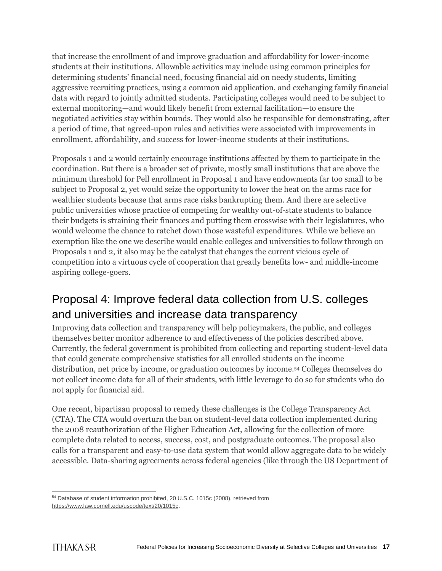that increase the enrollment of and improve graduation and affordability for lower-income students at their institutions. Allowable activities may include using common principles for determining students' financial need, focusing financial aid on needy students, limiting aggressive recruiting practices, using a common aid application, and exchanging family financial data with regard to jointly admitted students. Participating colleges would need to be subject to external monitoring—and would likely benefit from external facilitation—to ensure the negotiated activities stay within bounds. They would also be responsible for demonstrating, after a period of time, that agreed-upon rules and activities were associated with improvements in enrollment, affordability, and success for lower-income students at their institutions.

Proposals 1 and 2 would certainly encourage institutions affected by them to participate in the coordination. But there is a broader set of private, mostly small institutions that are above the minimum threshold for Pell enrollment in Proposal 1 and have endowments far too small to be subject to Proposal 2, yet would seize the opportunity to lower the heat on the arms race for wealthier students because that arms race risks bankrupting them. And there are selective public universities whose practice of competing for wealthy out-of-state students to balance their budgets is straining their finances and putting them crosswise with their legislatures, who would welcome the chance to ratchet down those wasteful expenditures. While we believe an exemption like the one we describe would enable colleges and universities to follow through on Proposals 1 and 2, it also may be the catalyst that changes the current vicious cycle of competition into a virtuous cycle of cooperation that greatly benefits low- and middle-income aspiring college-goers.

### Proposal 4: Improve federal data collection from U.S. colleges and universities and increase data transparency

Improving data collection and transparency will help policymakers, the public, and colleges themselves better monitor adherence to and effectiveness of the policies described above. Currently, the federal government is prohibited from collecting and reporting student-level data that could generate comprehensive statistics for all enrolled students on the income distribution, net price by income, or graduation outcomes by income.<sup>54</sup> Colleges themselves do not collect income data for all of their students, with little leverage to do so for students who do not apply for financial aid.

One recent, bipartisan proposal to remedy these challenges is the College Transparency Act (CTA). The CTA would overturn the ban on student-level data collection implemented during the 2008 reauthorization of the Higher Education Act, allowing for the collection of more complete data related to access, success, cost, and postgraduate outcomes. The proposal also calls for a transparent and easy-to-use data system that would allow aggregate data to be widely accessible. Data-sharing agreements across federal agencies (like through the US Department of

 <sup>54</sup> Database of student information prohibited, 20 U.S.C. 1015c (2008), retrieved from [https://www.law.cornell.edu/uscode/text/20/1015c.](https://www.law.cornell.edu/uscode/text/20/1015c)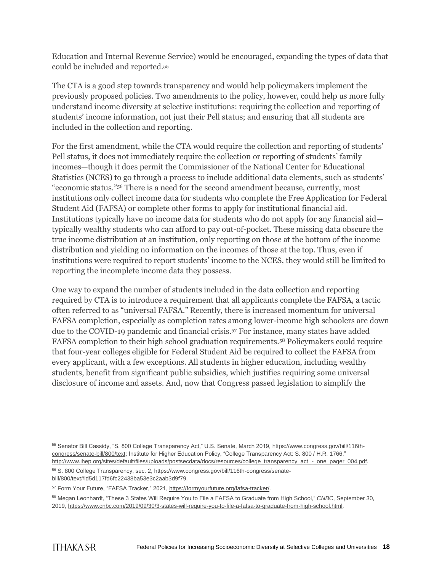Education and Internal Revenue Service) would be encouraged, expanding the types of data that could be included and reported.<sup>55</sup>

The CTA is a good step towards transparency and would help policymakers implement the previously proposed policies. Two amendments to the policy, however, could help us more fully understand income diversity at selective institutions: requiring the collection and reporting of students' income information, not just their Pell status; and ensuring that all students are included in the collection and reporting.

For the first amendment, while the CTA would require the collection and reporting of students' Pell status, it does not immediately require the collection or reporting of students' family incomes—though it does permit the Commissioner of the National Center for Educational Statistics (NCES) to go through a process to include additional data elements, such as students' "economic status."<sup>56</sup> There is a need for the second amendment because, currently, most institutions only collect income data for students who complete the Free Application for Federal Student Aid (FAFSA) or complete other forms to apply for institutional financial aid. Institutions typically have no income data for students who do not apply for any financial aid typically wealthy students who can afford to pay out-of-pocket. These missing data obscure the true income distribution at an institution, only reporting on those at the bottom of the income distribution and yielding no information on the incomes of those at the top. Thus, even if institutions were required to report students' income to the NCES, they would still be limited to reporting the incomplete income data they possess.

One way to expand the number of students included in the data collection and reporting required by CTA is to introduce a requirement that all applicants complete the FAFSA, a tactic often referred to as "universal FAFSA." Recently, there is increased momentum for universal FAFSA completion, especially as completion rates among lower-income high schoolers are down due to the COVID-19 pandemic and financial crisis.<sup>57</sup> For instance, many states have added FAFSA completion to their high school graduation requirements.<sup>58</sup> Policymakers could require that four-year colleges eligible for Federal Student Aid be required to collect the FAFSA from every applicant, with a few exceptions. All students in higher education, including wealthy students, benefit from significant public subsidies, which justifies requiring some universal disclosure of income and assets. And, now that Congress passed legislation to simplify the

 <sup>55</sup> Senator Bill Cassidy, "S. 800 College Transparency Act," U.S. Senate, March 2019, [https://www.congress.gov/bill/116th](https://www.congress.gov/bill/116th-congress/senate-bill/800/text)[congress/senate-bill/800/text;](https://www.congress.gov/bill/116th-congress/senate-bill/800/text) Institute for Higher Education Policy, "College Transparency Act: S. 800 / H.R. 1766," [http://www.ihep.org/sites/default/files/uploads/postsecdata/docs/resources/college\\_transparency\\_act\\_-\\_one\\_pager\\_004.pdf.](http://www.ihep.org/sites/default/files/uploads/postsecdata/docs/resources/college_transparency_act_-_one_pager_004.pdf)

<sup>56</sup> S. 800 College Transparency, sec. 2, https://www.congress.gov/bill/116th-congress/senatebill/800/text#id5d117fd6fc22438ba53e3c2aab3d9f79.

<sup>57</sup> Form Your Future, "FAFSA Tracker," 2021, [https://formyourfuture.org/fafsa-tracker/.](https://formyourfuture.org/fafsa-tracker/)

<sup>58</sup> Megan Leonhardt, "These 3 States Will Require You to File a FAFSA to Graduate from High School," *CNBC*, September 30, 2019, [https://www.cnbc.com/2019/09/30/3-states-will-require-you-to-file-a-fafsa-to-graduate-from-high-school.html.](https://www.cnbc.com/2019/09/30/3-states-will-require-you-to-file-a-fafsa-to-graduate-from-high-school.html)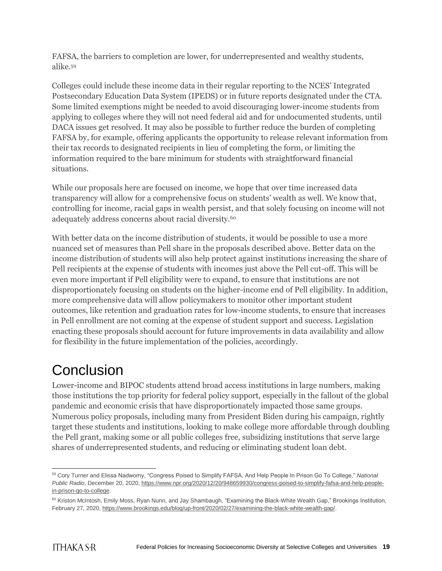FAFSA, the barriers to completion are lower, for underrepresented and wealthy students, alike.<sup>59</sup>

Colleges could include these income data in their regular reporting to the NCES' Integrated Postsecondary Education Data System (IPEDS) or in future reports designated under the CTA. Some limited exemptions might be needed to avoid discouraging lower-income students from applying to colleges where they will not need federal aid and for undocumented students, until DACA issues get resolved. It may also be possible to further reduce the burden of completing FAFSA by, for example, offering applicants the opportunity to release relevant information from their tax records to designated recipients in lieu of completing the form, or limiting the information required to the bare minimum for students with straightforward financial situations.

While our proposals here are focused on income, we hope that over time increased data transparency will allow for a comprehensive focus on students' wealth as well. We know that, controlling for income, racial gaps in wealth persist, and that solely focusing on income will not adequately address concerns about racial diversity.<sup>60</sup>

With better data on the income distribution of students, it would be possible to use a more nuanced set of measures than Pell share in the proposals described above. Better data on the income distribution of students will also help protect against institutions increasing the share of Pell recipients at the expense of students with incomes just above the Pell cut-off. This will be even more important if Pell eligibility were to expand, to ensure that institutions are not disproportionately focusing on students on the higher-income end of Pell eligibility. In addition, more comprehensive data will allow policymakers to monitor other important student outcomes, like retention and graduation rates for low-income students, to ensure that increases in Pell enrollment are not coming at the expense of student support and success. Legislation enacting these proposals should account for future improvements in data availability and allow for flexibility in the future implementation of the policies, accordingly.

### **Conclusion**

Lower-income and BIPOC students attend broad access institutions in large numbers, making those institutions the top priority for federal policy support, especially in the fallout of the global pandemic and economic crisis that have disproportionately impacted those same groups. Numerous policy proposals, including many from President Biden during his campaign, rightly target these students and institutions, looking to make college more affordable through doubling the Pell grant, making some or all public colleges free, subsidizing institutions that serve large shares of underrepresented students, and reducing or eliminating student loan debt.

 $\overline{a}$ <sup>59</sup> Cory Turner and Elissa Nadworny, "Congress Poised to Simplify FAFSA, And Help People In Prison Go To College," *National Public Radio*, December 20, 2020, [https://www.npr.org/2020/12/20/948659930/congress-poised-to-simplify-fafsa-and-help-people](https://www.npr.org/2020/12/20/948659930/congress-poised-to-simplify-fafsa-and-help-people-in-prison-go-to-college)[in-prison-go-to-college.](https://www.npr.org/2020/12/20/948659930/congress-poised-to-simplify-fafsa-and-help-people-in-prison-go-to-college)

<sup>&</sup>lt;sup>60</sup> Kriston McIntosh, Emily Moss, Ryan Nunn, and Jay Shambaugh, "Examining the Black-White Wealth Gap," Brookings Institution, February 27, 2020, [https://www.brookings.edu/blog/up-front/2020/02/27/examining-the-black-white-wealth-gap/.](https://www.brookings.edu/blog/up-front/2020/02/27/examining-the-black-white-wealth-gap/)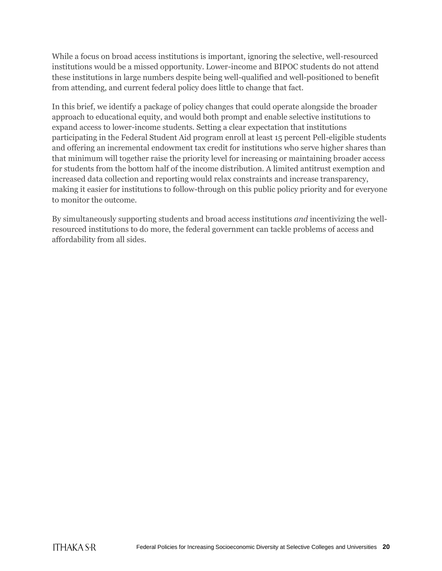While a focus on broad access institutions is important, ignoring the selective, well-resourced institutions would be a missed opportunity. Lower-income and BIPOC students do not attend these institutions in large numbers despite being well-qualified and well-positioned to benefit from attending, and current federal policy does little to change that fact.

In this brief, we identify a package of policy changes that could operate alongside the broader approach to educational equity, and would both prompt and enable selective institutions to expand access to lower-income students. Setting a clear expectation that institutions participating in the Federal Student Aid program enroll at least 15 percent Pell-eligible students and offering an incremental endowment tax credit for institutions who serve higher shares than that minimum will together raise the priority level for increasing or maintaining broader access for students from the bottom half of the income distribution. A limited antitrust exemption and increased data collection and reporting would relax constraints and increase transparency, making it easier for institutions to follow-through on this public policy priority and for everyone to monitor the outcome.

By simultaneously supporting students and broad access institutions *and* incentivizing the wellresourced institutions to do more, the federal government can tackle problems of access and affordability from all sides.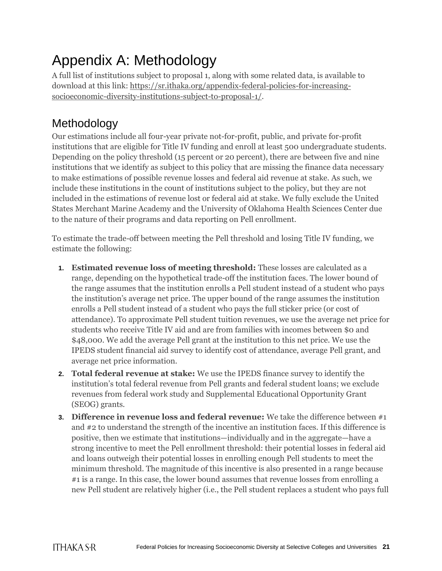# Appendix A: Methodology

A full list of institutions subject to proposal 1, along with some related data, is available to download at this link: [https://sr.ithaka.org/appendix-federal-policies-for-increasing](https://sr.ithaka.org/appendix-federal-policies-for-increasing-socioeconomic-diversity-institutions-subject-to-proposal-1/)[socioeconomic-diversity-institutions-subject-to-proposal-1/.](https://sr.ithaka.org/appendix-federal-policies-for-increasing-socioeconomic-diversity-institutions-subject-to-proposal-1/)

### Methodology

Our estimations include all four-year private not-for-profit, public, and private for-profit institutions that are eligible for Title IV funding and enroll at least 500 undergraduate students. Depending on the policy threshold (15 percent or 20 percent), there are between five and nine institutions that we identify as subject to this policy that are missing the finance data necessary to make estimations of possible revenue losses and federal aid revenue at stake. As such, we include these institutions in the count of institutions subject to the policy, but they are not included in the estimations of revenue lost or federal aid at stake. We fully exclude the United States Merchant Marine Academy and the University of Oklahoma Health Sciences Center due to the nature of their programs and data reporting on Pell enrollment.

To estimate the trade-off between meeting the Pell threshold and losing Title IV funding, we estimate the following:

- **1. Estimated revenue loss of meeting threshold:** These losses are calculated as a range, depending on the hypothetical trade-off the institution faces. The lower bound of the range assumes that the institution enrolls a Pell student instead of a student who pays the institution's average net price. The upper bound of the range assumes the institution enrolls a Pell student instead of a student who pays the full sticker price (or cost of attendance). To approximate Pell student tuition revenues, we use the average net price for students who receive Title IV aid and are from families with incomes between \$0 and \$48,000. We add the average Pell grant at the institution to this net price. We use the IPEDS student financial aid survey to identify cost of attendance, average Pell grant, and average net price information.
- **2. Total federal revenue at stake:** We use the IPEDS finance survey to identify the institution's total federal revenue from Pell grants and federal student loans; we exclude revenues from federal work study and Supplemental Educational Opportunity Grant (SEOG) grants.
- **3. Difference in revenue loss and federal revenue:** We take the difference between #1 and #2 to understand the strength of the incentive an institution faces. If this difference is positive, then we estimate that institutions—individually and in the aggregate—have a strong incentive to meet the Pell enrollment threshold: their potential losses in federal aid and loans outweigh their potential losses in enrolling enough Pell students to meet the minimum threshold. The magnitude of this incentive is also presented in a range because #1 is a range. In this case, the lower bound assumes that revenue losses from enrolling a new Pell student are relatively higher (i.e., the Pell student replaces a student who pays full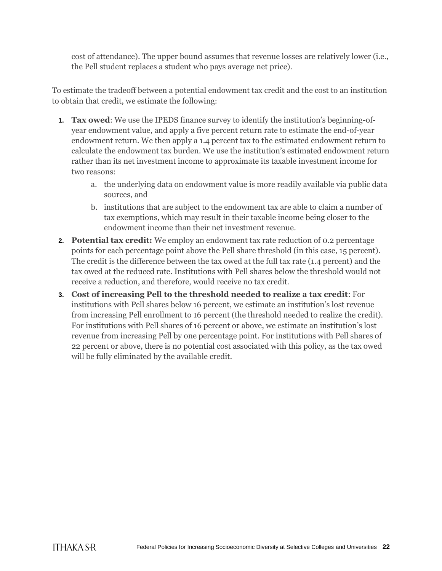cost of attendance). The upper bound assumes that revenue losses are relatively lower (i.e., the Pell student replaces a student who pays average net price).

To estimate the tradeoff between a potential endowment tax credit and the cost to an institution to obtain that credit, we estimate the following:

- **1. Tax owed**: We use the IPEDS finance survey to identify the institution's beginning-ofyear endowment value, and apply a five percent return rate to estimate the end-of-year endowment return. We then apply a 1.4 percent tax to the estimated endowment return to calculate the endowment tax burden. We use the institution's estimated endowment return rather than its net investment income to approximate its taxable investment income for two reasons:
	- a. the underlying data on endowment value is more readily available via public data sources, and
	- b. institutions that are subject to the endowment tax are able to claim a number of tax exemptions, which may result in their taxable income being closer to the endowment income than their net investment revenue.
- **2. Potential tax credit:** We employ an endowment tax rate reduction of 0.2 percentage points for each percentage point above the Pell share threshold (in this case, 15 percent). The credit is the difference between the tax owed at the full tax rate (1.4 percent) and the tax owed at the reduced rate. Institutions with Pell shares below the threshold would not receive a reduction, and therefore, would receive no tax credit.
- **3. Cost of increasing Pell to the threshold needed to realize a tax credit**: For institutions with Pell shares below 16 percent, we estimate an institution's lost revenue from increasing Pell enrollment to 16 percent (the threshold needed to realize the credit). For institutions with Pell shares of 16 percent or above, we estimate an institution's lost revenue from increasing Pell by one percentage point. For institutions with Pell shares of 22 percent or above, there is no potential cost associated with this policy, as the tax owed will be fully eliminated by the available credit.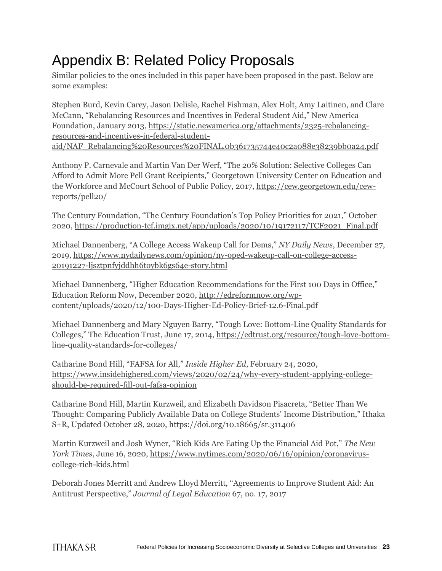# Appendix B: Related Policy Proposals

Similar policies to the ones included in this paper have been proposed in the past. Below are some examples:

Stephen Burd, Kevin Carey, Jason Delisle, Rachel Fishman, Alex Holt, Amy Laitinen, and Clare McCann, "Rebalancing Resources and Incentives in Federal Student Aid," New America Foundation, January 2013, [https://static.newamerica.org/attachments/2325-rebalancing](https://static.newamerica.org/attachments/2325-rebalancing-resources-and-incentives-in-federal-student-aid/NAF_Rebalancing%20Resources%20FINAL.0b361735744e40c2a088e38239bb0a24.pdf)[resources-and-incentives-in-federal-student](https://static.newamerica.org/attachments/2325-rebalancing-resources-and-incentives-in-federal-student-aid/NAF_Rebalancing%20Resources%20FINAL.0b361735744e40c2a088e38239bb0a24.pdf)[aid/NAF\\_Rebalancing%20Resources%20FINAL.0b361735744e40c2a088e38239bb0a24.pdf](https://static.newamerica.org/attachments/2325-rebalancing-resources-and-incentives-in-federal-student-aid/NAF_Rebalancing%20Resources%20FINAL.0b361735744e40c2a088e38239bb0a24.pdf)

Anthony P. Carnevale and Martin Van Der Werf, "The 20% Solution: Selective Colleges Can Afford to Admit More Pell Grant Recipients," Georgetown University Center on Education and the Workforce and McCourt School of Public Policy, 2017, [https://cew.georgetown.edu/cew](https://cew.georgetown.edu/cew-reports/pell20/)[reports/pell20/](https://cew.georgetown.edu/cew-reports/pell20/)

The Century Foundation, "The Century Foundation's Top Policy Priorities for 2021," October 2020, [https://production-tcf.imgix.net/app/uploads/2020/10/19172117/TCF2021\\_Final.pdf](https://production-tcf.imgix.net/app/uploads/2020/10/19172117/TCF2021_Final.pdf)

Michael Dannenberg, "A College Access Wakeup Call for Dems," *NY Daily News*, December 27, 2019, [https://www.nydailynews.com/opinion/ny-oped-wakeup-call-on-college-access-](https://www.nydailynews.com/opinion/ny-oped-wakeup-call-on-college-access-20191227-ljsztpnfyjddhh6toybk6gs64e-story.html)[20191227-ljsztpnfyjddhh6toybk6gs64e-story.html](https://www.nydailynews.com/opinion/ny-oped-wakeup-call-on-college-access-20191227-ljsztpnfyjddhh6toybk6gs64e-story.html)

Michael Dannenberg, "Higher Education Recommendations for the First 100 Days in Office," Education Reform Now, December 2020, [http://edreformnow.org/wp](http://edreformnow.org/wp-content/uploads/2020/12/100-Days-Higher-Ed-Policy-Brief-12.6-Final.pdf)[content/uploads/2020/12/100-Days-Higher-Ed-Policy-Brief-12.6-Final.pdf](http://edreformnow.org/wp-content/uploads/2020/12/100-Days-Higher-Ed-Policy-Brief-12.6-Final.pdf)

Michael Dannenberg and Mary Nguyen Barry, "Tough Love: Bottom-Line Quality Standards for Colleges," The Education Trust, June 17, 2014[, https://edtrust.org/resource/tough-love-bottom](https://edtrust.org/resource/tough-love-bottom-line-quality-standards-for-colleges/)[line-quality-standards-for-colleges/](https://edtrust.org/resource/tough-love-bottom-line-quality-standards-for-colleges/)

Catharine Bond Hill, "FAFSA for All," *Inside Higher Ed*, February 24, 2020, [https://www.insidehighered.com/views/2020/02/24/why-every-student-applying-college](https://www.insidehighered.com/views/2020/02/24/why-every-student-applying-college-should-be-required-fill-out-fafsa-opinion)[should-be-required-fill-out-fafsa-opinion](https://www.insidehighered.com/views/2020/02/24/why-every-student-applying-college-should-be-required-fill-out-fafsa-opinion)

Catharine Bond Hill, Martin Kurzweil, and Elizabeth Davidson Pisacreta, "Better Than We Thought: Comparing Publicly Available Data on College Students' Income Distribution," Ithaka S+R, Updated October 28, 2020, https://doi.org/10.18665/sr.311406

Martin Kurzweil and Josh Wyner, "Rich Kids Are Eating Up the Financial Aid Pot," *The New York Times*, June 16, 2020, [https://www.nytimes.com/2020/06/16/opinion/coronavirus](https://www.nytimes.com/2020/06/16/opinion/coronavirus-college-rich-kids.html)[college-rich-kids.html](https://www.nytimes.com/2020/06/16/opinion/coronavirus-college-rich-kids.html)

Deborah Jones Merritt and Andrew Lloyd Merritt, "Agreements to Improve Student Aid: An Antitrust Perspective," *Journal of Legal Education* 67, no. 17, 2017